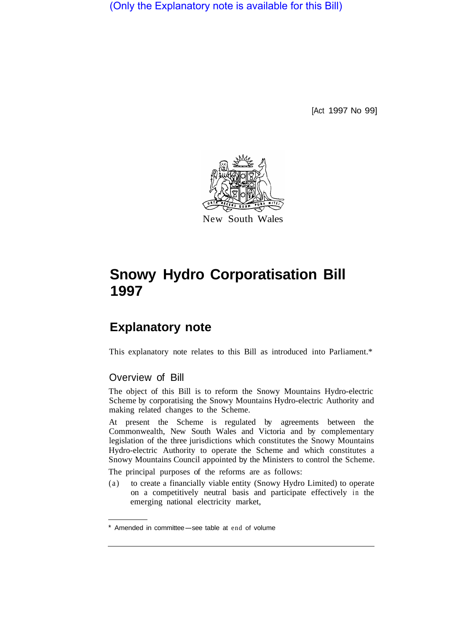(Only the Explanatory note is available for this Bill)

[Act 1997 No 99]



# **Snowy Hydro Corporatisation Bill 1997**

## **Explanatory note**

This explanatory note relates to this Bill as introduced into Parliament.\*

### Overview of Bill

The object of this Bill is to reform the Snowy Mountains Hydro-electric Scheme by corporatising the Snowy Mountains Hydro-electric Authority and making related changes to the Scheme.

At present the Scheme is regulated by agreements between the Commonwealth, New South Wales and Victoria and by complementary legislation of the three jurisdictions which constitutes the Snowy Mountains Hydro-electric Authority to operate the Scheme and which constitutes a Snowy Mountains Council appointed by the Ministers to control the Scheme.

The principal purposes of the reforms are as follows:

(a) to create a financially viable entity (Snowy Hydro Limited) to operate on a competitively neutral basis and participate effectively in the emerging national electricity market,

Amended in committee-see table at end of volume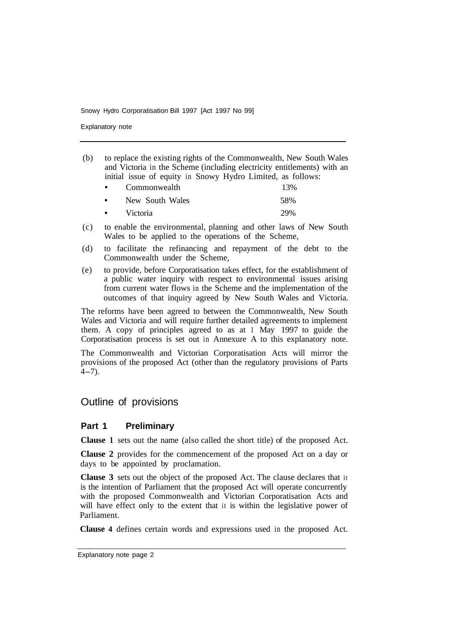Explanatory note

(b) to replace the existing rights of the Commonwealth, New South Wales and Victoria in the Scheme (including electricity entitlements) with an initial issue of equity in Snowy Hydro Limited, as follows:

| $\bullet$ | Commonwealth    | 13% |
|-----------|-----------------|-----|
| $\bullet$ | New South Wales | 58% |
| $\bullet$ | Victoria        | 29% |

- (c) to enable the environmental, planning and other laws of New South Wales to be applied to the operations of the Scheme,
- (d) to facilitate the refinancing and repayment of the debt to the Commonwealth under the Scheme,
- (e) to provide, before Corporatisation takes effect, for the establishment of a public water inquiry with respect to environmental issues arising from current water flows in the Scheme and the implementation of the outcomes of that inquiry agreed by New South Wales and Victoria.

The reforms have been agreed to between the Commonwealth, New South Wales and Victoria and will require further detailed agreements to implement them. A copy of principles agreed to as at **1** May 1997 to guide the Corporatisation process is set out in Annexure A to this explanatory note.

The Commonwealth and Victorian Corporatisation Acts will mirror the provisions of the proposed Act (other than the regulatory provisions of Parts  $4 - 7$ ).

## Outline of provisions

#### **Part 1 Preliminary**

**Clause 1** sets out the name (also called the short title) of the proposed Act.

**Clause 2** provides for the commencement of the proposed Act on a day or days to be appointed by proclamation.

**Clause 3** sets out the object of the proposed Act. The clause declares that it is the intention of Parliament that the proposed Act will operate concurrently with the proposed Commonwealth and Victorian Corporatisation Acts and will have effect only to the extent that it is within the legislative power of Parliament.

**Clause 4** defines certain words and expressions used in the proposed Act.

Explanatory note page 2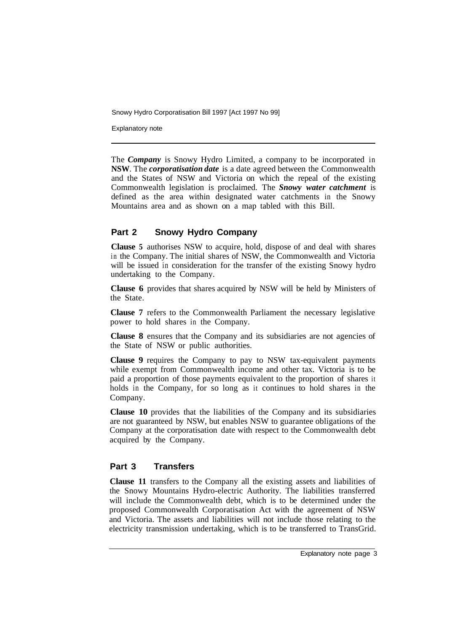Explanatory note

The *Company* is Snowy Hydro Limited, a company to be incorporated in **NSW**. The *corporatisation date* is a date agreed between the Commonwealth and the States of NSW and Victoria on which the repeal of the existing Commonwealth legislation is proclaimed. The *Snowy water catchment* is defined as the area within designated water catchments in the Snowy Mountains area and as shown on a map tabled with this Bill.

### **Part 2 Snowy Hydro Company**

**Clause 5** authorises NSW to acquire, hold, dispose of and deal with shares in the Company. The initial shares of NSW, the Commonwealth and Victoria will be issued in consideration for the transfer of the existing Snowy hydro undertaking to the Company.

**Clause 6** provides that shares acquired by NSW will be held by Ministers of the State.

**Clause 7** refers to the Commonwealth Parliament the necessary legislative power to hold shares in the Company.

**Clause 8** ensures that the Company and its subsidiaries are not agencies of the State of NSW or public authorities.

**Clause 9** requires the Company to pay to NSW tax-equivalent payments while exempt from Commonwealth income and other tax. Victoria is to be paid a proportion of those payments equivalent to the proportion of shares it holds in the Company, for so long as it continues to hold shares in the Company.

**Clause 10** provides that the liabilities of the Company and its subsidiaries are not guaranteed by NSW, but enables NSW to guarantee obligations of the Company at the corporatisation date with respect to the Commonwealth debt acquired by the Company.

### **Part 3 Transfers**

**Clause 11** transfers to the Company all the existing assets and liabilities of the Snowy Mountains Hydro-electric Authority. The liabilities transferred will include the Commonwealth debt, which is to be determined under the proposed Commonwealth Corporatisation Act with the agreement of NSW and Victoria. The assets and liabilities will not include those relating to the electricity transmission undertaking, which is to be transferred to TransGrid.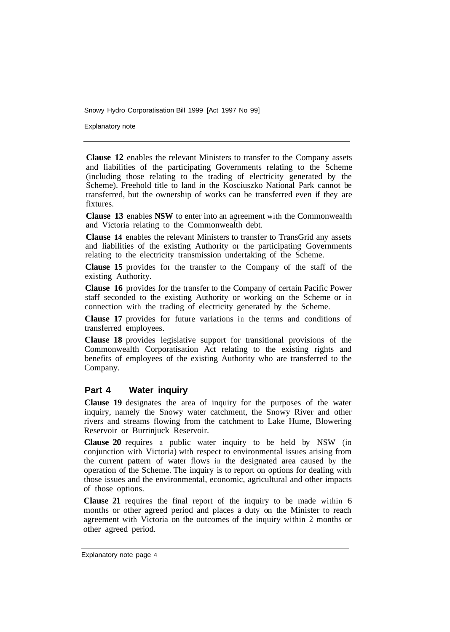Explanatory note

**Clause 12** enables the relevant Ministers to transfer to the Company assets and liabilities of the participating Governments relating to the Scheme (including those relating to the trading of electricity generated by the Scheme). Freehold title to land in the Kosciuszko National Park cannot be transferred, but the ownership of works can be transferred even if they are fixtures.

**Clause 13** enables **NSW** to enter into an agreement with the Commonwealth and Victoria relating to the Commonwealth debt.

**Clause 14** enables the relevant Ministers to transfer to TransGrid any assets and liabilities of the existing Authority or the participating Governments relating to the electricity transmission undertaking of the Scheme.

**Clause 15** provides for the transfer to the Company of the staff of the existing Authority.

**Clause 16** provides for the transfer to the Company of certain Pacific Power staff seconded to the existing Authority or working on the Scheme or in connection with the trading of electricity generated by the Scheme.

**Clause 17** provides for future variations in the terms and conditions of transferred employees.

**Clause 18** provides legislative support for transitional provisions of the Commonwealth Corporatisation Act relating to the existing rights and benefits of employees of the existing Authority who are transferred to the Company.

#### **Part 4 Water inquiry**

**Clause 19** designates the area of inquiry for the purposes of the water inquiry, namely the Snowy water catchment, the Snowy River and other rivers and streams flowing from the catchment to Lake Hume, Blowering Reservoir or Burrinjuck Reservoir.

**Clause 20** requires a public water inquiry to be held by NSW (in conjunction with Victoria) with respect to environmental issues arising from the current pattern of water flows in the designated area caused by the operation of the Scheme. The inquiry is to report on options for dealing with those issues and the environmental, economic, agricultural and other impacts of those options.

**Clause 21** requires the final report of the inquiry to be made within 6 months or other agreed period and places a duty on the Minister to reach agreement with Victoria on the outcomes of the inquiry within 2 months or other agreed period.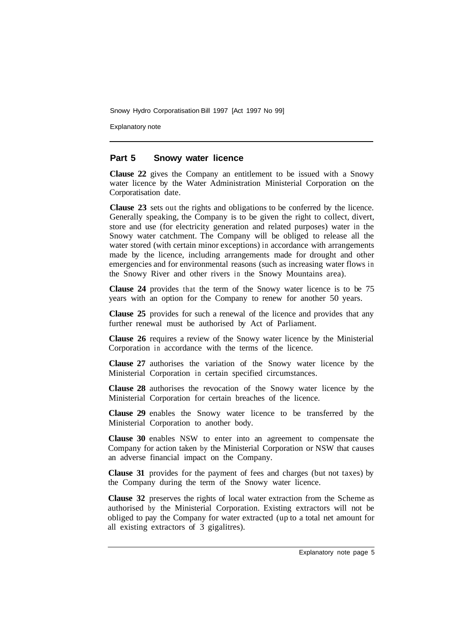Explanatory note

#### **Part 5 Snowy water licence**

**Clause 22** gives the Company an entitlement to be issued with a Snowy water licence by the Water Administration Ministerial Corporation on the Corporatisation date.

**Clause 23** sets out the rights and obligations to be conferred by the licence. Generally speaking, the Company is to be given the right to collect, divert, store and use (for electricity generation and related purposes) water in the Snowy water catchment. The Company will be obliged to release all the water stored (with certain minor exceptions) in accordance with arrangements made by the licence, including arrangements made for drought and other emergencies and for environmental reasons (such as increasing water flows in the Snowy River and other rivers in the Snowy Mountains area).

**Clause 24** provides that the term of the Snowy water licence is to be 75 years with an option for the Company to renew for another 50 years.

**Clause 25** provides for such a renewal of the licence and provides that any further renewal must be authorised by Act of Parliament.

**Clause 26** requires a review of the Snowy water licence by the Ministerial Corporation in accordance with the terms of the licence.

**Clause 27** authorises the variation of the Snowy water licence by the Ministerial Corporation in certain specified circumstances.

**Clause 28** authorises the revocation of the Snowy water licence by the Ministerial Corporation for certain breaches of the licence.

**Clause 29** enables the Snowy water licence to be transferred by the Ministerial Corporation to another body.

**Clause 30** enables NSW to enter into an agreement to compensate the Company for action taken by the Ministerial Corporation or NSW that causes an adverse financial impact on the Company.

**Clause 31** provides for the payment of fees and charges (but not taxes) by the Company during the term of the Snowy water licence.

**Clause 32** preserves the rights of local water extraction from the Scheme as authorised by the Ministerial Corporation. Existing extractors will not be obliged to pay the Company for water extracted (up to a total net amount for all existing extractors of 3 gigalitres).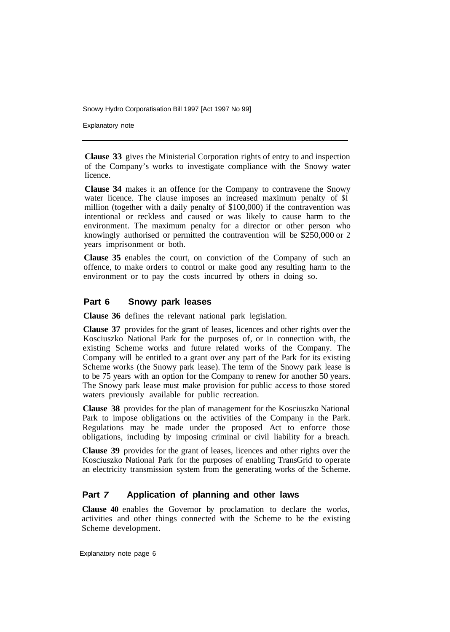Explanatory note

**Clause 33** gives the Ministerial Corporation rights of entry to and inspection of the Company's works to investigate compliance with the Snowy water licence.

**Clause 34** makes it an offence for the Company to contravene the Snowy water licence. The clause imposes an increased maximum penalty of \$1 million (together with a daily penalty of \$100,000) if the contravention was intentional or reckless and caused or was likely to cause harm to the environment. The maximum penalty for a director or other person who knowingly authorised or permitted the contravention will be \$250,000 or 2 years imprisonment or both.

**Clause 35** enables the court, on conviction of the Company of such an offence, to make orders to control or make good any resulting harm to the environment or to pay the costs incurred by others in doing so.

#### **Part 6 Snowy park leases**

**Clause 36** defines the relevant national park legislation.

**Clause 37** provides for the grant of leases, licences and other rights over the Kosciuszko National Park for the purposes of, or in connection with, the existing Scheme works and future related works of the Company. The Company will be entitled to a grant over any part of the Park for its existing Scheme works (the Snowy park lease). The term of the Snowy park lease is to be 75 years with an option for the Company to renew for another 50 years. The Snowy park lease must make provision for public access to those stored waters previously available for public recreation.

**Clause 38** provides for the plan of management for the Kosciuszko National Park to impose obligations on the activities of the Company in the Park. Regulations may be made under the proposed Act to enforce those obligations, including by imposing criminal or civil liability for a breach.

**Clause 39** provides for the grant of leases, licences and other rights over the Kosciuszko National Park for the purposes of enabling TransGrid to operate an electricity transmission system from the generating works of the Scheme.

#### **Part** *7* **Application of planning and other laws**

**Clause 40** enables the Governor by proclamation to declare the works, activities and other things connected with the Scheme to be the existing Scheme development.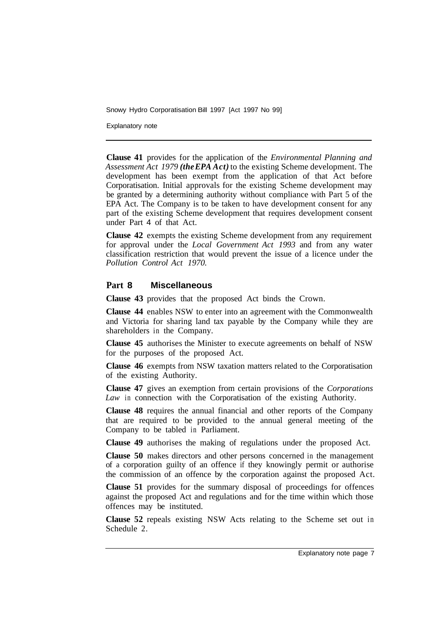Explanatory note

**Clause 41** provides for the application of the *Environmental Planning and Assessment Act 1979 (the EPA Act)* to the existing Scheme development. The development has been exempt from the application of that Act before Corporatisation. Initial approvals for the existing Scheme development may be granted by a determining authority without compliance with Part 5 of the EPA Act. The Company is to be taken to have development consent for any part of the existing Scheme development that requires development consent under Part 4 of that Act.

**Clause 42** exempts the existing Scheme development from any requirement for approval under the *Local Government Act 1993* and from any water classification restriction that would prevent the issue of a licence under the *Pollution Control Act 1970.* 

#### **Part 8 Miscellaneous**

**Clause 43** provides that the proposed Act binds the Crown.

**Clause 44** enables NSW to enter into an agreement with the Commonwealth and Victoria for sharing land tax payable by the Company while they are shareholders in the Company.

**Clause 45** authorises the Minister to execute agreements on behalf of NSW for the purposes of the proposed Act.

**Clause 46** exempts from NSW taxation matters related to the Corporatisation of the existing Authority.

**Clause 47** gives an exemption from certain provisions of the *Corporations Law* in connection with the Corporatisation of the existing Authority.

**Clause 48** requires the annual financial and other reports of the Company that are required to be provided to the annual general meeting of the Company to be tabled in Parliament.

**Clause 49** authorises the making of regulations under the proposed Act.

**Clause 50** makes directors and other persons concerned in the management of a corporation guilty of an offence if they knowingly permit or authorise the commission of an offence by the corporation against the proposed Act.

**Clause 51** provides for the summary disposal of proceedings for offences against the proposed Act and regulations and for the time within which those offences may be instituted.

**Clause 52** repeals existing NSW Acts relating to the Scheme set out in Schedule 2.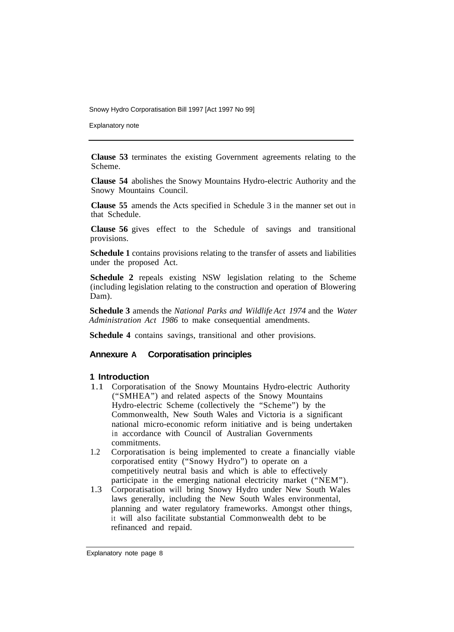Explanatory note

**Clause 53** terminates the existing Government agreements relating to the Scheme.

**Clause 54** abolishes the Snowy Mountains Hydro-electric Authority and the Snowy Mountains Council.

**Clause 55** amends the Acts specified in Schedule 3 in the manner set out in that Schedule.

**Clause 56** gives effect to the Schedule of savings and transitional provisions.

**Schedule 1** contains provisions relating to the transfer of assets and liabilities under the proposed Act.

**Schedule 2** repeals existing NSW legislation relating to the Scheme (including legislation relating to the construction and operation of Blowering Dam).

**Schedule 3** amends the *National Parks and Wildlife Act 1974* and the *Water Administration Act 1986* to make consequential amendments.

**Schedule 4** contains savings, transitional and other provisions.

#### **Annexure A Corporatisation principles**

#### **1 Introduction**

- 1.1 Corporatisation of the Snowy Mountains Hydro-electric Authority ("SMHEA") and related aspects of the Snowy Mountains Hydro-electric Scheme (collectively the "Scheme") by the Commonwealth, New South Wales and Victoria is a significant national micro-economic reform initiative and is being undertaken in accordance with Council of Australian Governments commitments.
- 1.2 Corporatisation is being implemented to create a financially viable corporatised entity ("Snowy Hydro") to operate on a competitively neutral basis and which is able to effectively participate in the emerging national electricity market ("NEM").
- 1.3 Corporatisation will bring Snowy Hydro under New South Wales laws generally, including the New South Wales environmental, planning and water regulatory frameworks. Amongst other things, it will also facilitate substantial Commonwealth debt to be refinanced and repaid.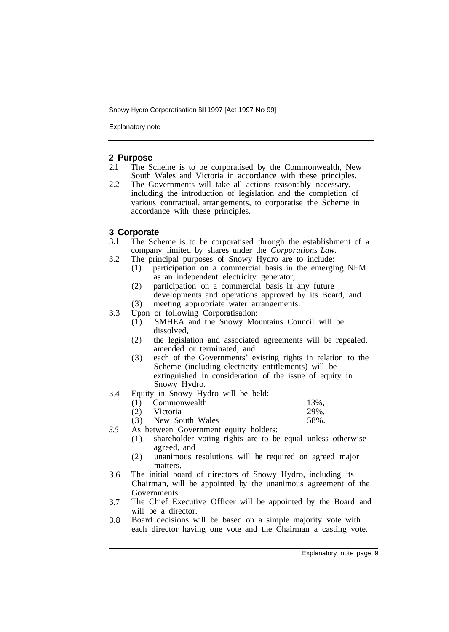Explanatory note

#### **2 Purpose**

- 2.1 The Scheme is to be corporatised by the Commonwealth, New South Wales and Victoria in accordance with these principles.
- 2.2 The Governments will take all actions reasonably necessary, including the introduction of legislation and the completion of various contractual. arrangements, to corporatise the Scheme in accordance with these principles.

#### **3 Corporate**

- 3. I The Scheme is to be corporatised through the establishment of a company limited by shares under the *Corporations Law.*
- 3.2 The principal purposes of Snowy Hydro are to include:
	- (1) participation on a commercial basis in the emerging NEM as an independent electricity generator,
	- (2) participation on a commercial basis in any future developments and operations approved by its Board, and
- (3) meeting appropriate water arrangements.
- 3.3 Upon or following Corporatisation:
	- (1) SMHEA and the Snowy Mountains Council will be dissolved,
	- (2) the legislation and associated agreements will be repealed, amended or terminated, and
	- (3) each of the Governments' existing rights in relation to the Scheme (including electricity entitlements) will be extinguished in consideration of the issue of equity in Snowy Hydro.
- 3.4 Equity in Snowy Hydro will be held:

| (1) Commonwealth    | 13%, |
|---------------------|------|
| (2) Victoria        | 29%, |
| (3) New South Wales | 58%. |

- *3.5*  As between Government equity holders:
	- (1) shareholder voting rights are to be equal unless otherwise agreed, and
	- (2) unanimous resolutions will be required on agreed major matters.
- 3.6 The initial board of directors of Snowy Hydro, including its Chairman, will be appointed by the unanimous agreement of the Governments.
- 3.7 The Chief Executive Officer will be appointed by the Board and will be a director.
- 3.8 Board decisions will be based on a simple majority vote with each director having one vote and the Chairman a casting vote.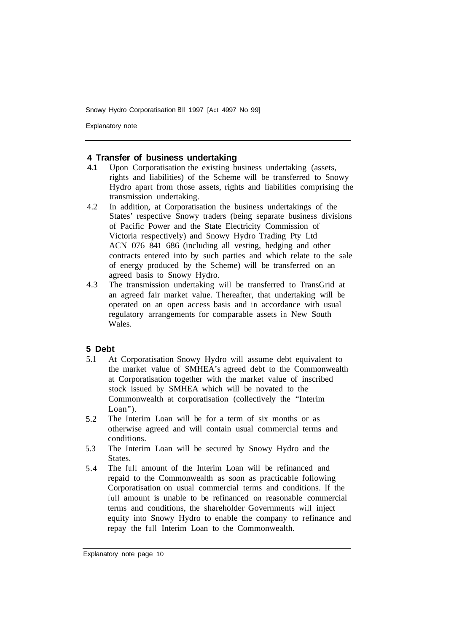Explanatory note

#### **4 Transfer of business undertaking**

- 4.1 Upon Corporatisation the existing business undertaking (assets, rights and liabilities) of the Scheme will be transferred to Snowy Hydro apart from those assets, rights and liabilities comprising the transmission undertaking.
- 4.2 In addition, at Corporatisation the business undertakings of the States' respective Snowy traders (being separate business divisions of Pacific Power and the State Electricity Commission of Victoria respectively) and Snowy Hydro Trading Pty Ltd ACN 076 841 686 (including all vesting, hedging and other contracts entered into by such parties and which relate to the sale of energy produced by the Scheme) will be transferred on an agreed basis to Snowy Hydro.
- 4.3 The transmission undertaking will be transferred to TransGrid at an agreed fair market value. Thereafter, that undertaking will be operated on an open access basis and in accordance with usual regulatory arrangements for comparable assets in New South Wales.

#### **5 Debt**

- 5.1 At Corporatisation Snowy Hydro will assume debt equivalent to the market value of SMHEA's agreed debt to the Commonwealth at Corporatisation together with the market value of inscribed stock issued by SMHEA which will be novated to the Commonwealth at corporatisation (collectively the "Interim Loan").
- 5.2 The Interim Loan will be for a term of six months or as otherwise agreed and will contain usual commercial terms and conditions.
- 5.3 The Interim Loan will be secured by Snowy Hydro and the States.
- 5.4 The full amount of the Interim Loan will be refinanced and repaid to the Commonwealth as soon as practicable following Corporatisation on usual commercial terms and conditions. If the full amount is unable to be refinanced on reasonable commercial terms and conditions, the shareholder Governments will inject equity into Snowy Hydro to enable the company to refinance and repay the full Interim Loan to the Commonwealth.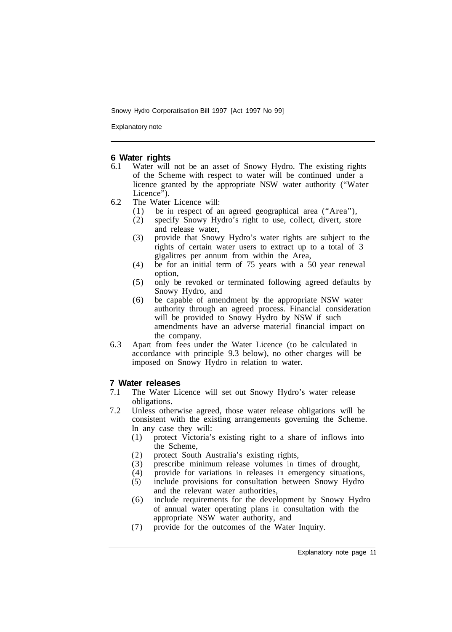Explanatory note

## **6 Water rights**<br>**6.1** Water will

- Water will not be an asset of Snowy Hydro. The existing rights of the Scheme with respect to water will be continued under a licence granted by the appropriate NSW water authority ("Water Licence").
- 6.2 The Water Licence will:
	- (1) be in respect of an agreed geographical area ("Area"),
	- (2) specify Snowy Hydro's right to use, collect, divert, store and release water,
	- (3) provide that Snowy Hydro's water rights are subject to the rights of certain water users to extract up to a total of 3 gigalitres per annum from within the Area,
	- (4) be for an initial term of 75 years with a 50 year renewal option,
	- (5) only be revoked or terminated following agreed defaults by Snowy Hydro, and
	- (6) be capable of amendment by the appropriate NSW water authority through an agreed process. Financial consideration will be provided to Snowy Hydro by NSW if such amendments have an adverse material financial impact on the company.
- 6.3 Apart from fees under the Water Licence (to be calculated in accordance with principle 9.3 below), no other charges will be imposed on Snowy Hydro in relation to water.

#### **7 Water releases**

- 7.1 The Water Licence will set out Snowy Hydro's water release obligations.
- 7.2 Unless otherwise agreed, those water release obligations will be consistent with the existing arrangements governing the Scheme. In any case they will:
	- (1) protect Victoria's existing right to a share of inflows into the Scheme,
	- (2) protect South Australia's existing rights,
	- (3) prescribe minimum release volumes in times of drought,
	- (4) provide for variations in releases in emergency situations,
	- (5) include provisions for consultation between Snowy Hydro and the relevant water authorities,
	- (6) include requirements for the development by Snowy Hydro of annual water operating plans in consultation with the appropriate NSW water authority, and
	- (7) provide for the outcomes of the Water Inquiry.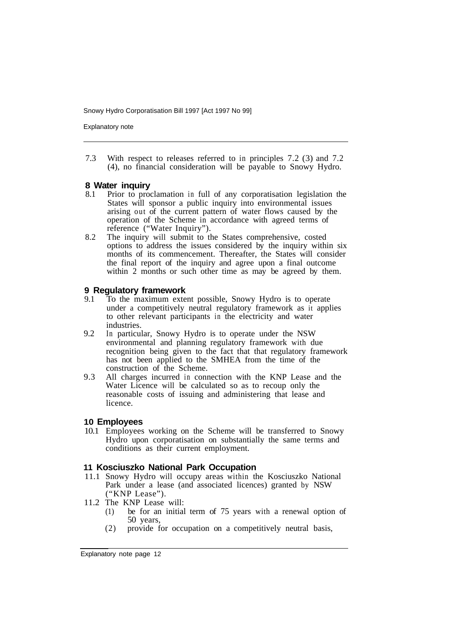Explanatory note

7.3 With respect to releases referred to in principles 7.2 (3) and 7.2 (4), no financial consideration will be payable to Snowy Hydro.

## **8 Water inquiry** 8.1 Prior to prox

- 8.1 Prior to proclamation in full of any corporatisation legislation the States will sponsor a public inquiry into environmental issues arising out of the current pattern of water flows caused by the operation of the Scheme in accordance with agreed terms of reference ("Water Inquiry").
- options to address the issues considered by the inquiry within six months of its commencement. Thereafter, the States will consider the final report of the inquiry and agree upon a final outcome within 2 months or such other time as may be agreed by them. 8.2 The inquiry will submit to the States comprehensive, costed

#### **9 Regulatory framework**

- 9.1 To the maximum extent possible, Snowy Hydro is to operate under a competitively neutral regulatory framework as it applies to other relevant participants in the electricity and water industries.
- 9.2 In particular, Snowy Hydro is to operate under the NSW environmental and planning regulatory framework with due recognition being given to the fact that that regulatory framework has not been applied to the SMHEA from the time of the construction of the Scheme.
- 9.3 All charges incurred in connection with the KNP Lease and the Water Licence will be calculated so as to recoup only the reasonable costs of issuing and administering that lease and licence.

#### **10 Employees**

10.1 Employees working on the Scheme will be transferred to Snowy Hydro upon corporatisation on substantially the same terms and conditions as their current employment.

#### **11 Kosciuszko National Park Occupation**

- 11.1 Snowy Hydro will occupy areas within the Kosciuszko National Park under a lease (and associated licences) granted by NSW ("KNP Lease").
- 11.2 The KNP Lease will:
	- (1) be for an initial term of 75 years with a renewal option of 50 years,
	- (2) provide for occupation on a competitively neutral basis,